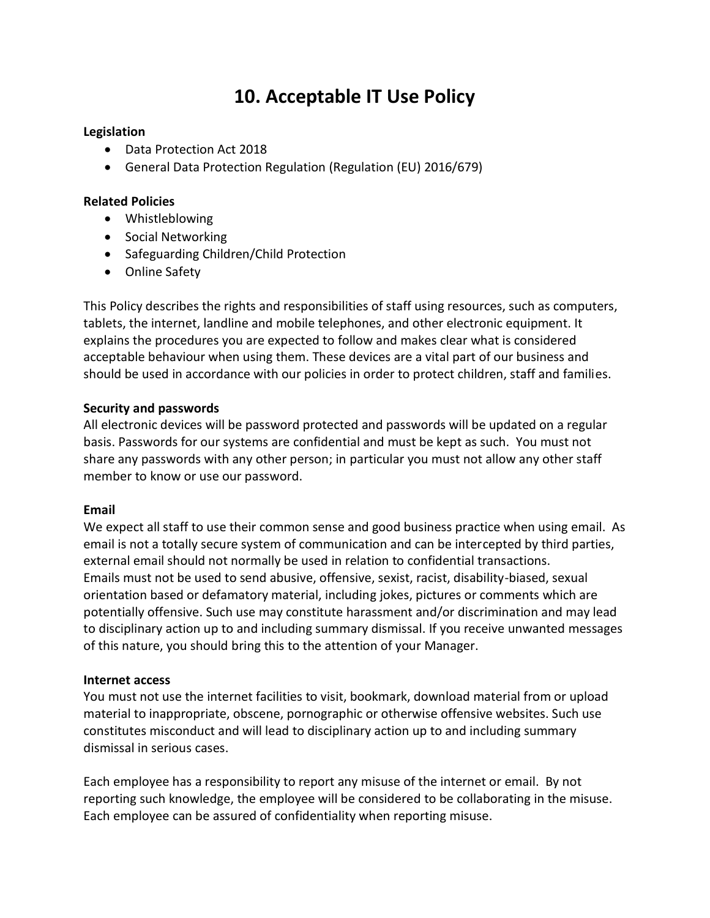# **10. Acceptable IT Use Policy**

### **Legislation**

- Data Protection Act 2018
- General Data Protection Regulation (Regulation (EU) 2016/679)

## **Related Policies**

- Whistleblowing
- Social Networking
- Safeguarding Children/Child Protection
- Online Safety

This Policy describes the rights and responsibilities of staff using resources, such as computers, tablets, the internet, landline and mobile telephones, and other electronic equipment. It explains the procedures you are expected to follow and makes clear what is considered acceptable behaviour when using them. These devices are a vital part of our business and should be used in accordance with our policies in order to protect children, staff and families.

## **Security and passwords**

All electronic devices will be password protected and passwords will be updated on a regular basis. Passwords for our systems are confidential and must be kept as such. You must not share any passwords with any other person; in particular you must not allow any other staff member to know or use our password.

#### **Email**

We expect all staff to use their common sense and good business practice when using email. As email is not a totally secure system of communication and can be intercepted by third parties, external email should not normally be used in relation to confidential transactions. Emails must not be used to send abusive, offensive, sexist, racist, disability-biased, sexual orientation based or defamatory material, including jokes, pictures or comments which are potentially offensive. Such use may constitute harassment and/or discrimination and may lead to disciplinary action up to and including summary dismissal. If you receive unwanted messages of this nature, you should bring this to the attention of your Manager.

#### **Internet access**

You must not use the internet facilities to visit, bookmark, download material from or upload material to inappropriate, obscene, pornographic or otherwise offensive websites. Such use constitutes misconduct and will lead to disciplinary action up to and including summary dismissal in serious cases.

Each employee has a responsibility to report any misuse of the internet or email. By not reporting such knowledge, the employee will be considered to be collaborating in the misuse. Each employee can be assured of confidentiality when reporting misuse.